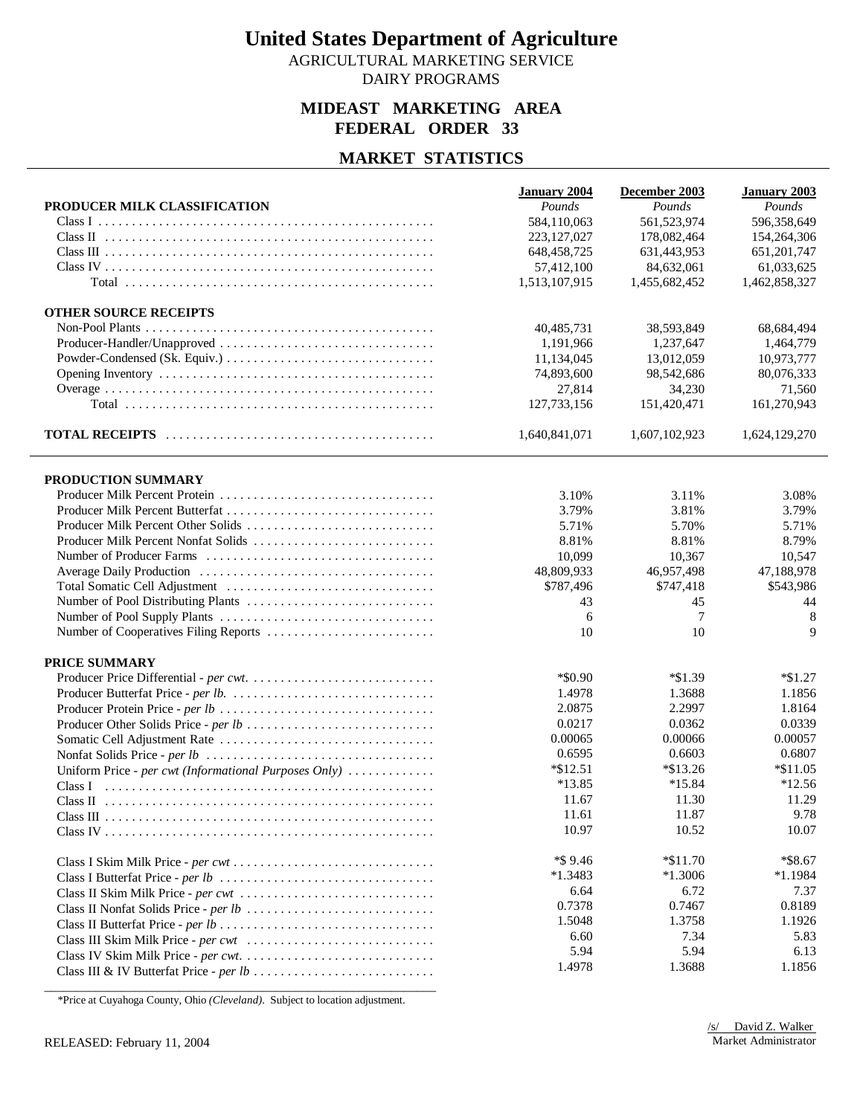AGRICULTURAL MARKETING SERVICE

## DAIRY PROGRAMS

### **MIDEAST MARKETING AREA FEDERAL ORDER 33**

## **MARKET STATISTICS**

|                                                       | <b>January 2004</b> | December 2003 | January 2003  |
|-------------------------------------------------------|---------------------|---------------|---------------|
| PRODUCER MILK CLASSIFICATION                          | Pounds              | Pounds        | Pounds        |
|                                                       | 584,110,063         | 561,523,974   | 596,358,649   |
|                                                       | 223, 127, 027       | 178,082,464   | 154,264,306   |
|                                                       | 648, 458, 725       | 631,443,953   | 651, 201, 747 |
|                                                       | 57,412,100          | 84,632,061    | 61,033,625    |
|                                                       | 1,513,107,915       | 1,455,682,452 | 1,462,858,327 |
| <b>OTHER SOURCE RECEIPTS</b>                          |                     |               |               |
|                                                       | 40,485,731          | 38,593,849    | 68,684,494    |
| Producer-Handler/Unapproved                           | 1,191,966           | 1,237,647     | 1.464.779     |
|                                                       | 11,134,045          | 13,012,059    | 10,973,777    |
|                                                       | 74,893,600          | 98,542,686    | 80,076,333    |
|                                                       | 27,814              | 34,230        | 71,560        |
|                                                       | 127,733,156         | 151,420,471   | 161,270,943   |
|                                                       | 1,640,841,071       | 1,607,102,923 | 1,624,129,270 |
|                                                       |                     |               |               |
| PRODUCTION SUMMARY                                    |                     |               |               |
|                                                       | 3.10%               | 3.11%         | 3.08%         |
|                                                       | 3.79%               | 3.81%         | 3.79%         |
| Producer Milk Percent Other Solids                    | 5.71%               | 5.70%         | 5.71%         |
| Producer Milk Percent Nonfat Solids                   | 8.81%               | 8.81%         | 8.79%         |
|                                                       | 10,099              | 10,367        | 10,547        |
|                                                       | 48,809,933          | 46,957,498    | 47,188,978    |
|                                                       | \$787,496           | \$747,418     | \$543,986     |
|                                                       | 43                  | 45            | 44            |
|                                                       | 6                   | 7             | 8             |
| Number of Cooperatives Filing Reports                 | 10                  | 10            | $\mathbf{Q}$  |
| <b>PRICE SUMMARY</b>                                  |                     |               |               |
|                                                       | $*$ \$0.90          | $*1.39$       | $*\$1.27$     |
|                                                       | 1.4978              | 1.3688        | 1.1856        |
|                                                       | 2.0875              | 2.2997        | 1.8164        |
|                                                       | 0.0217              | 0.0362        | 0.0339        |
|                                                       | 0.00065             | 0.00066       | 0.00057       |
|                                                       | 0.6595              | 0.6603        | 0.6807        |
| Uniform Price - per cwt (Informational Purposes Only) | $*\$12.51$          | $*\$13.26$    | $*\$11.05$    |
|                                                       | $*13.85$            | $*15.84$      | $*12.56$      |
|                                                       | 11.67               | 11.30         | 11.29         |
|                                                       | 11.61               | 11.87         | 9.78          |
|                                                       | 10.97               | 10.52         | 10.07         |
|                                                       | *\$9.46             | $*\$11.70$    | *\$8.67       |
|                                                       | $*1.3483$           | $*1.3006$     | $*1.1984$     |
| Class II Skim Milk Price - per cwt                    | 6.64                | 6.72          | 7.37          |
|                                                       | 0.7378              | 0.7467        | 0.8189        |
|                                                       | 1.5048              | 1.3758        | 1.1926        |
| Class III Skim Milk Price - per cwt                   | 6.60                | 7.34          | 5.83          |
|                                                       | 5.94                | 5.94          | 6.13          |
|                                                       | 1.4978              | 1.3688        | 1.1856        |

\_\_\_\_\_\_\_\_\_\_\_\_\_\_\_\_\_\_\_\_\_\_\_\_\_\_\_\_\_\_\_\_\_\_\_\_\_\_\_\_\_\_\_\_\_\_\_\_\_\_\_\_\_\_\_\_\_\_\_\_\_ \*Price at Cuyahoga County, Ohio *(Cleveland)*. Subject to location adjustment.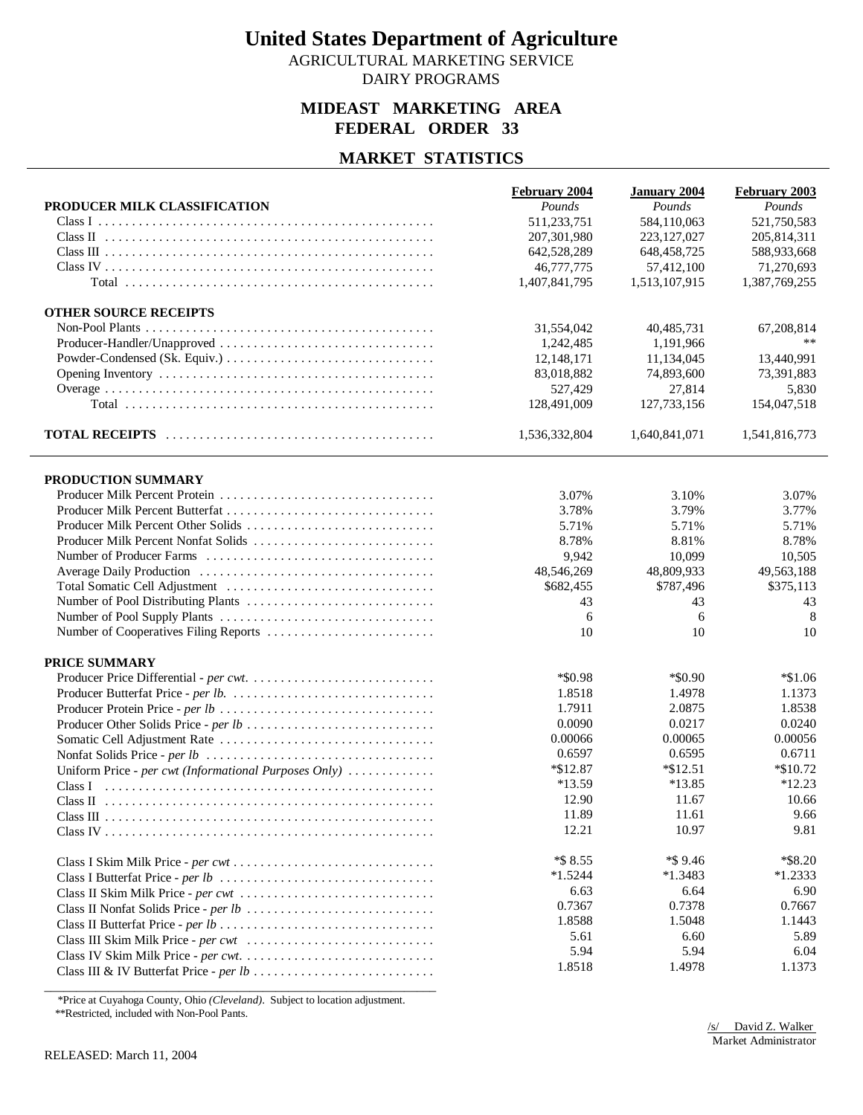AGRICULTURAL MARKETING SERVICE DAIRY PROGRAMS

### **MIDEAST MARKETING AREA FEDERAL ORDER 33**

## **MARKET STATISTICS**

|                                                       | <b>February 2004</b> | <b>January 2004</b> | <b>February 2003</b> |
|-------------------------------------------------------|----------------------|---------------------|----------------------|
| PRODUCER MILK CLASSIFICATION                          | Pounds               | Pounds              | Pounds               |
|                                                       | 511,233,751          | 584,110,063         | 521,750,583          |
|                                                       | 207,301,980          | 223, 127, 027       | 205,814,311          |
|                                                       | 642,528,289          | 648, 458, 725       | 588,933,668          |
|                                                       | 46,777,775           | 57,412,100          | 71,270,693           |
|                                                       | 1,407,841,795        | 1,513,107,915       | 1,387,769,255        |
| <b>OTHER SOURCE RECEIPTS</b>                          |                      |                     |                      |
|                                                       | 31,554,042           | 40,485,731          | 67,208,814           |
| Producer-Handler/Unapproved                           | 1,242,485            | 1,191,966           | **                   |
|                                                       | 12,148,171           | 11,134,045          | 13,440,991           |
|                                                       | 83,018,882           | 74,893,600          | 73,391,883           |
|                                                       | 527,429              | 27,814              | 5,830                |
|                                                       | 128,491,009          | 127,733,156         | 154,047,518          |
|                                                       | 1,536,332,804        | 1,640,841,071       | 1,541,816,773        |
|                                                       |                      |                     |                      |
| PRODUCTION SUMMARY                                    |                      |                     |                      |
|                                                       | 3.07%                | 3.10%               | 3.07%                |
|                                                       | 3.78%                | 3.79%               | 3.77%                |
| Producer Milk Percent Other Solids                    | 5.71%                | 5.71%               | 5.71%                |
| Producer Milk Percent Nonfat Solids                   | 8.78%                | 8.81%               | 8.78%                |
|                                                       | 9,942                | 10,099              | 10,505               |
|                                                       | 48,546,269           | 48,809,933          | 49,563,188           |
|                                                       | \$682,455            | \$787,496           | \$375,113            |
|                                                       | 43                   | 43                  | 43                   |
|                                                       | 6                    | 6                   | 8                    |
| Number of Cooperatives Filing Reports                 | 10                   | 10                  | 10                   |
| PRICE SUMMARY                                         |                      |                     |                      |
|                                                       | $*$ \$0.98           | $*$ \$0.90          | $*1.06$              |
|                                                       | 1.8518               | 1.4978              | 1.1373               |
|                                                       | 1.7911               | 2.0875              | 1.8538               |
| Producer Other Solids Price - per lb                  | 0.0090               | 0.0217              | 0.0240               |
|                                                       | 0.00066              | 0.00065             | 0.00056              |
|                                                       | 0.6597               | 0.6595              | 0.6711               |
| Uniform Price - per cwt (Informational Purposes Only) | $*\$12.87$           | $*\$12.51$          | $*$ \$10.72          |
|                                                       | *13.59               | $*13.85$            | $*12.23$             |
|                                                       | 12.90                | 11.67               | 10.66                |
|                                                       | 11.89                | 11.61               | 9.66                 |
|                                                       | 12.21                | 10.97               | 9.81                 |
|                                                       | *\$ 8.55             | $*$ \$9.46          | $*$ \$8.20           |
|                                                       | $*1.5244$            | $*1.3483$           | $*1.2333$            |
|                                                       | 6.63                 | 6.64                | 6.90                 |
|                                                       | 0.7367               | 0.7378              | 0.7667               |
|                                                       | 1.8588               | 1.5048              | 1.1443               |
| Class III Skim Milk Price - per cwt                   |                      |                     |                      |
|                                                       | 5.61                 | 6.60                | 5.89                 |
|                                                       | 5.94<br>1.8518       | 5.94<br>1.4978      | 6.04                 |

\_\_\_\_\_\_\_\_\_\_\_\_\_\_\_\_\_\_\_\_\_\_\_\_\_\_\_\_\_\_\_\_\_\_\_\_\_\_\_\_\_\_\_\_\_\_\_\_\_\_\_\_\_\_\_\_\_\_\_\_\_ \*Price at Cuyahoga County, Ohio *(Cleveland)*. Subject to location adjustment. \*\*Restricted, included with Non-Pool Pants.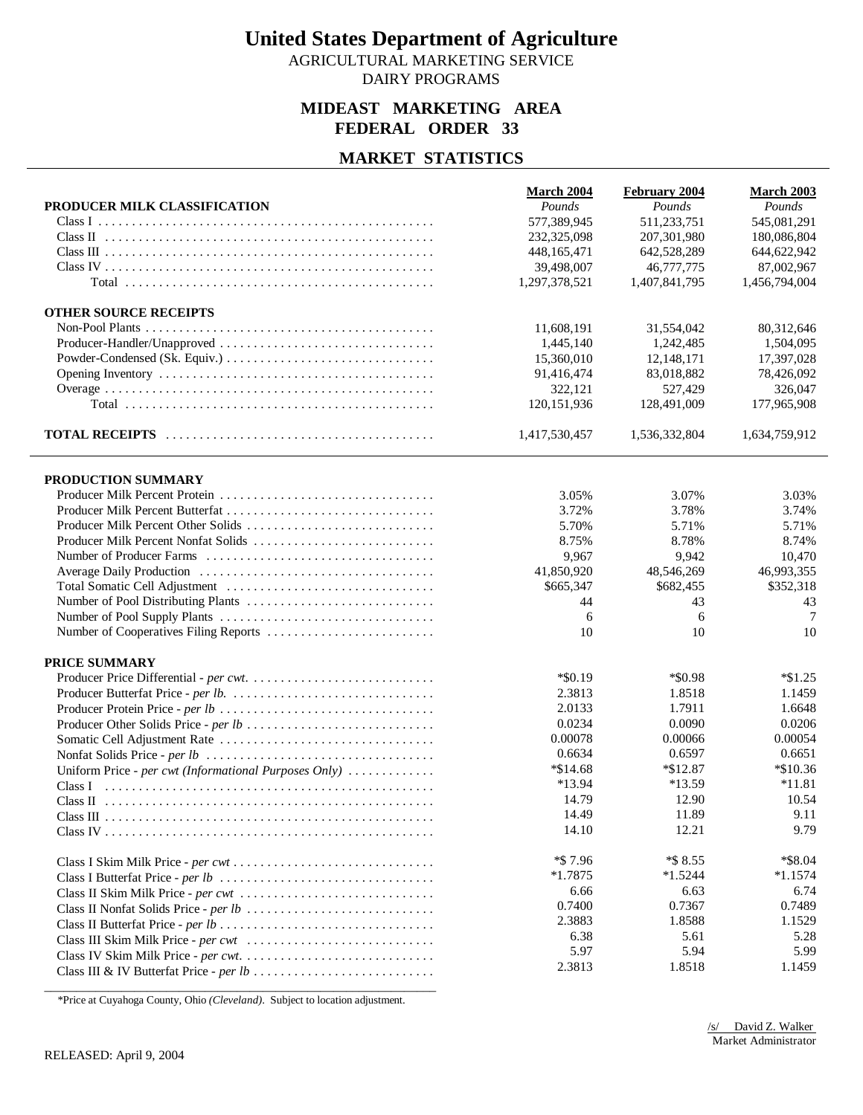AGRICULTURAL MARKETING SERVICE DAIRY PROGRAMS

## **MIDEAST MARKETING AREA FEDERAL ORDER 33**

## **MARKET STATISTICS**

|                                                       | March 2004    | <b>February 2004</b> | March 2003    |
|-------------------------------------------------------|---------------|----------------------|---------------|
| PRODUCER MILK CLASSIFICATION                          | Pounds        | Pounds               | Pounds        |
|                                                       | 577,389,945   | 511,233,751          | 545,081,291   |
|                                                       | 232,325,098   | 207,301,980          | 180,086,804   |
|                                                       | 448, 165, 471 | 642,528,289          | 644,622,942   |
|                                                       | 39,498,007    | 46,777,775           | 87,002,967    |
|                                                       | 1,297,378,521 | 1,407,841,795        | 1,456,794,004 |
|                                                       |               |                      |               |
| <b>OTHER SOURCE RECEIPTS</b>                          |               |                      |               |
|                                                       | 11,608,191    | 31,554,042           | 80,312,646    |
| Producer-Handler/Unapproved                           | 1,445,140     | 1,242,485            | 1,504,095     |
|                                                       | 15,360,010    | 12,148,171           | 17,397,028    |
|                                                       | 91,416,474    | 83,018,882           | 78,426,092    |
|                                                       | 322,121       | 527,429              | 326,047       |
|                                                       | 120, 151, 936 | 128,491,009          | 177,965,908   |
|                                                       | 1,417,530,457 | 1,536,332,804        | 1,634,759,912 |
|                                                       |               |                      |               |
| PRODUCTION SUMMARY                                    |               |                      |               |
|                                                       | 3.05%         | 3.07%                | 3.03%         |
| Producer Milk Percent Butterfat                       | 3.72%         | 3.78%                | 3.74%         |
| Producer Milk Percent Other Solids                    | 5.70%         | 5.71%                | 5.71%         |
| Producer Milk Percent Nonfat Solids                   | 8.75%         | 8.78%                | 8.74%         |
|                                                       | 9,967         | 9,942                | 10.470        |
|                                                       | 41,850,920    | 48,546,269           | 46,993,355    |
|                                                       | \$665,347     | \$682,455            | \$352,318     |
|                                                       | 44            | 43                   | 43            |
|                                                       | 6             | 6                    | 7             |
| Number of Cooperatives Filing Reports                 | 10            | 10                   | 10            |
| <b>PRICE SUMMARY</b>                                  |               |                      |               |
|                                                       | $*$ \$0.19    | *\$0.98              | $*\$1.25$     |
|                                                       | 2.3813        | 1.8518               | 1.1459        |
|                                                       | 2.0133        | 1.7911               | 1.6648        |
|                                                       | 0.0234        | 0.0090               | 0.0206        |
|                                                       | 0.00078       | 0.00066              | 0.00054       |
|                                                       | 0.6634        | 0.6597               | 0.6651        |
| Uniform Price - per cwt (Informational Purposes Only) | $*\$14.68$    | $*\$12.87$           | *\$10.36      |
| Class I                                               | $*13.94$      | $*13.59$             | $*11.81$      |
|                                                       | 14.79         | 12.90                | 10.54         |
|                                                       | 14.49         | 11.89                | 9.11          |
|                                                       | 14.10         | 12.21                | 9.79          |
|                                                       |               |                      |               |
|                                                       | $*$ \$7.96    | $*$ \$ 8.55          | $*$ \$8.04    |
|                                                       | $*1.7875$     | $*1.5244$            | $*1.1574$     |
| Class II Skim Milk Price - per cwt                    | 6.66          | 6.63                 | 6.74          |
|                                                       | 0.7400        | 0.7367               | 0.7489        |
|                                                       | 2.3883        | 1.8588               | 1.1529        |
| Class III Skim Milk Price - per cwt                   | 6.38          | 5.61                 | 5.28          |
|                                                       | 5.97          | 5.94                 | 5.99          |
|                                                       | 2.3813        | 1.8518               | 1.1459        |

\_\_\_\_\_\_\_\_\_\_\_\_\_\_\_\_\_\_\_\_\_\_\_\_\_\_\_\_\_\_\_\_\_\_\_\_\_\_\_\_\_\_\_\_\_\_\_\_\_\_\_\_\_\_\_\_\_\_\_\_\_ \*Price at Cuyahoga County, Ohio *(Cleveland)*. Subject to location adjustment.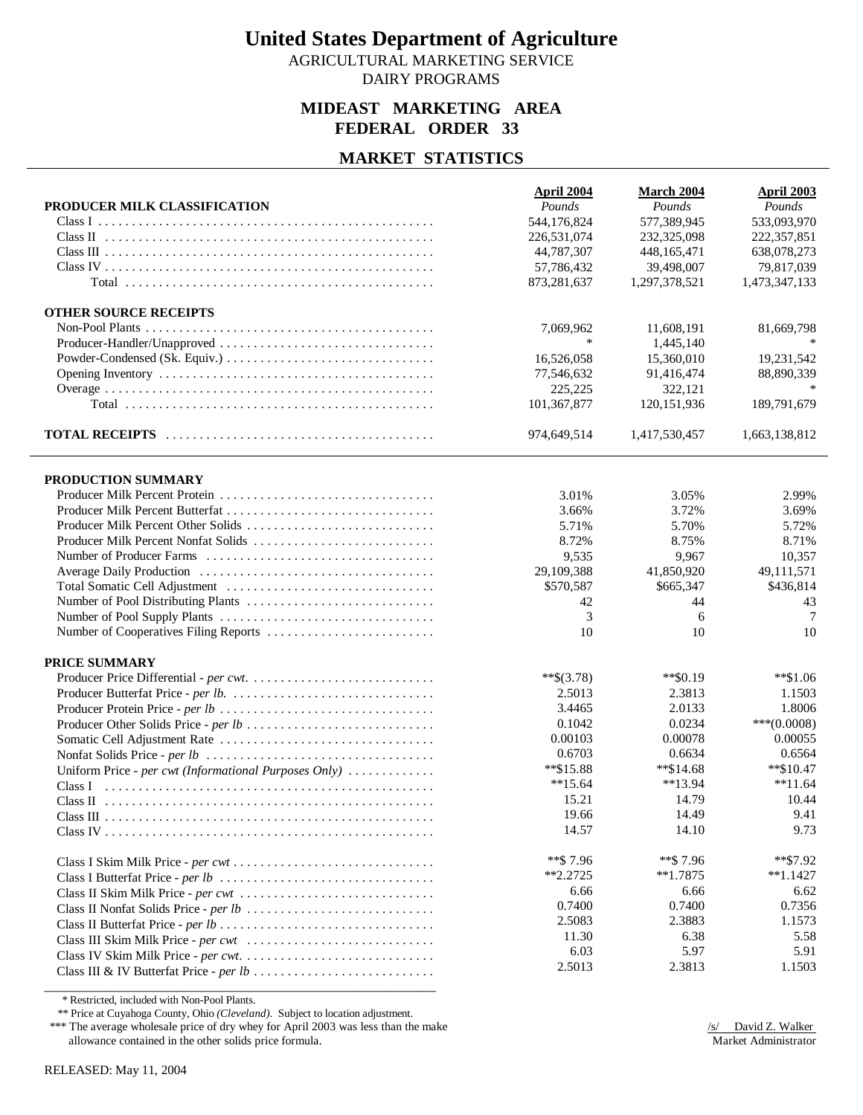AGRICULTURAL MARKETING SERVICE DAIRY PROGRAMS

## **MIDEAST MARKETING AREA FEDERAL ORDER 33**

## **MARKET STATISTICS**

| PRODUCER MILK CLASSIFICATION                                                                                                 | <b>April 2004</b><br>Pounds | March 2004<br>Pounds    | April 2003<br>Pounds |
|------------------------------------------------------------------------------------------------------------------------------|-----------------------------|-------------------------|----------------------|
| Class I $\ldots$ $\ldots$ $\ldots$ $\ldots$ $\ldots$ $\ldots$ $\ldots$ $\ldots$ $\ldots$ $\ldots$ $\ldots$ $\ldots$ $\ldots$ | 544,176,824                 | 577,389,945             | 533,093,970          |
|                                                                                                                              | 226,531,074                 | 232,325,098             | 222, 357, 851        |
|                                                                                                                              | 44,787,307                  | 448, 165, 471           | 638,078,273          |
|                                                                                                                              | 57,786,432                  | 39,498,007              | 79,817,039           |
|                                                                                                                              | 873,281,637                 | 1,297,378,521           | 1,473,347,133        |
|                                                                                                                              |                             |                         |                      |
| <b>OTHER SOURCE RECEIPTS</b>                                                                                                 |                             |                         |                      |
|                                                                                                                              | 7,069,962                   | 11,608,191              | 81,669,798           |
|                                                                                                                              | $\ast$                      | 1.445.140               |                      |
|                                                                                                                              | 16,526,058                  | 15,360,010              | 19,231,542           |
|                                                                                                                              | 77,546,632                  | 91,416,474              | 88,890,339           |
|                                                                                                                              | 225,225                     | 322,121                 |                      |
|                                                                                                                              | 101,367,877                 | 120, 151, 936           | 189,791,679          |
|                                                                                                                              | 974,649,514                 | 1,417,530,457           | 1,663,138,812        |
|                                                                                                                              |                             |                         |                      |
| PRODUCTION SUMMARY                                                                                                           |                             |                         |                      |
| Producer Milk Percent Butterfat                                                                                              | 3.01%                       | 3.05%                   | 2.99%                |
|                                                                                                                              | 3.66%                       | 3.72%                   | 3.69%                |
| Producer Milk Percent Other Solids<br>Producer Milk Percent Nonfat Solids                                                    | 5.71%                       | 5.70%                   | 5.72%                |
|                                                                                                                              | 8.72%                       | 8.75%                   | 8.71%                |
|                                                                                                                              | 9,535<br>29,109,388         | 9,967                   | 10,357<br>49,111,571 |
|                                                                                                                              | \$570,587                   | 41,850,920<br>\$665,347 | \$436,814            |
|                                                                                                                              | 42                          | 44                      | 43                   |
|                                                                                                                              | 3                           | 6                       | 7                    |
|                                                                                                                              | 10                          | 10                      | 10                   |
|                                                                                                                              |                             |                         |                      |
| <b>PRICE SUMMARY</b>                                                                                                         |                             |                         |                      |
|                                                                                                                              | **\$ $(3.78)$               | $*$ \$0.19              | $**\$1.06$           |
|                                                                                                                              | 2.5013                      | 2.3813                  | 1.1503               |
|                                                                                                                              | 3.4465                      | 2.0133                  | 1.8006               |
|                                                                                                                              | 0.1042                      | 0.0234                  | $***(0.0008)$        |
|                                                                                                                              | 0.00103                     | 0.00078                 | 0.00055              |
|                                                                                                                              | 0.6703                      | 0.6634                  | 0.6564               |
| Uniform Price - per cwt (Informational Purposes Only)                                                                        | $*$ \$15.88                 | $*$ \$14.68             | $**\$10.47$          |
|                                                                                                                              | $**15.64$                   | $**13.94$               | $**11.64$            |
|                                                                                                                              | 15.21                       | 14.79                   | 10.44                |
|                                                                                                                              | 19.66                       | 14.49                   | 9.41                 |
|                                                                                                                              | 14.57                       | 14.10                   | 9.73                 |
|                                                                                                                              | **\$7.96                    | **\$7.96                | **\$7.92             |
|                                                                                                                              | $*2.2725$                   | $**1.7875$              | **1.1427             |
|                                                                                                                              | 6.66                        | 6.66                    | 6.62                 |
|                                                                                                                              | 0.7400                      | 0.7400                  | 0.7356               |
|                                                                                                                              | 2.5083                      | 2.3883                  | 1.1573               |
| Class III Skim Milk Price - per cwt                                                                                          | 11.30                       | 6.38                    | 5.58                 |
|                                                                                                                              | 6.03                        | 5.97                    | 5.91                 |
|                                                                                                                              | 2.5013                      | 2.3813                  | 1.1503               |
|                                                                                                                              |                             |                         |                      |

\* Restricted, included with Non-Pool Plants.

\*\* Price at Cuyahoga County, Ohio *(Cleveland)*. Subject to location adjustment.

\*\*\* The average wholesale price of dry whey for April 2003 was less than the make allowance contained in the other solids price formula.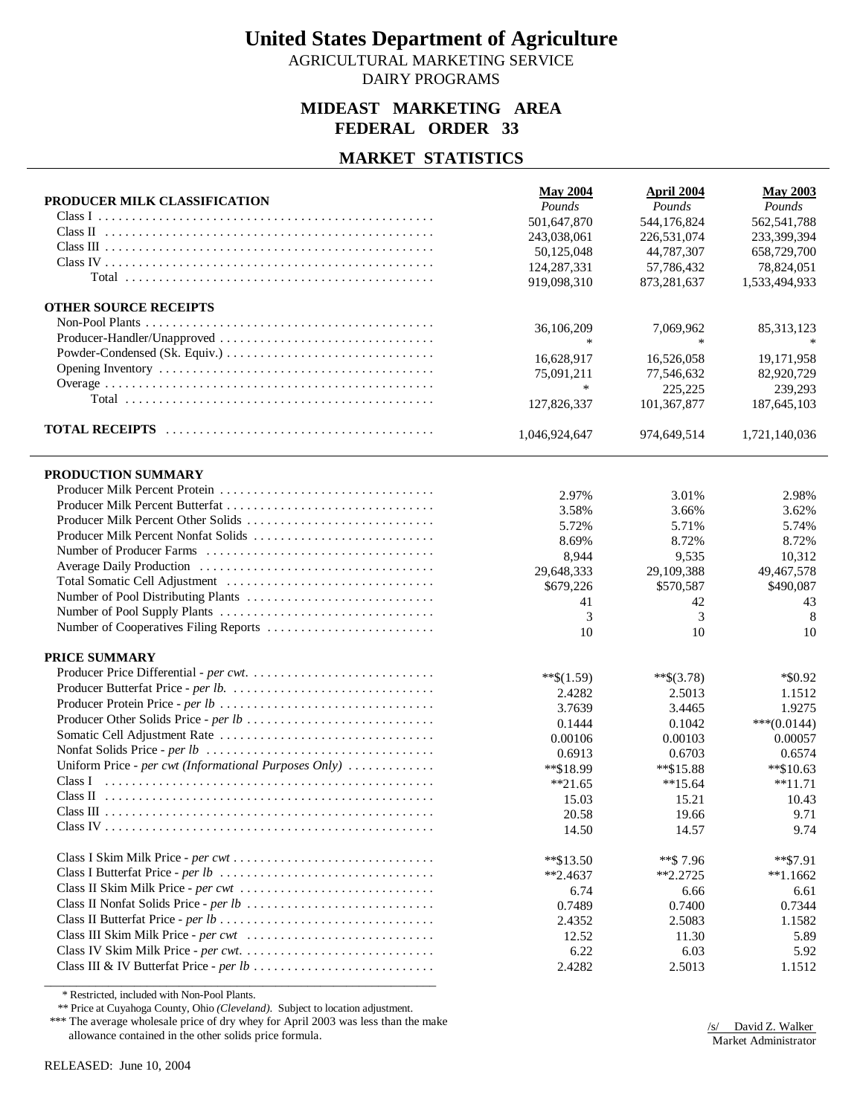AGRICULTURAL MARKETING SERVICE DAIRY PROGRAMS

## **MIDEAST MARKETING AREA FEDERAL ORDER 33**

### **MARKET STATISTICS**

| PRODUCER MILK CLASSIFICATION                          | <b>May 2004</b><br>Pounds<br>501,647,870 | April 2004<br>Pounds<br>544,176,824 | <b>May 2003</b><br>Pounds<br>562,541,788 |
|-------------------------------------------------------|------------------------------------------|-------------------------------------|------------------------------------------|
|                                                       |                                          |                                     | 233,399,394                              |
|                                                       | 243,038,061<br>50,125,048                | 226,531,074<br>44,787,307           | 658,729,700                              |
|                                                       |                                          |                                     |                                          |
|                                                       | 124, 287, 331<br>919,098,310             | 57,786,432<br>873,281,637           | 78,824,051<br>1,533,494,933              |
|                                                       |                                          |                                     |                                          |
| <b>OTHER SOURCE RECEIPTS</b>                          |                                          |                                     |                                          |
|                                                       | 36,106,209                               | 7,069,962                           | 85, 313, 123                             |
| Producer-Handler/Unapproved                           |                                          |                                     |                                          |
|                                                       | 16,628,917                               | 16,526,058                          | 19,171,958                               |
|                                                       | 75,091,211                               | 77,546,632                          | 82,920,729                               |
|                                                       | $\ast$                                   | 225,225                             | 239,293                                  |
|                                                       | 127,826,337                              | 101,367,877                         | 187,645,103                              |
|                                                       |                                          |                                     |                                          |
|                                                       | 1,046,924,647                            | 974,649,514                         | 1,721,140,036                            |
| PRODUCTION SUMMARY                                    |                                          |                                     |                                          |
|                                                       | 2.97%                                    | 3.01%                               | 2.98%                                    |
|                                                       | 3.58%                                    | 3.66%                               | 3.62%                                    |
| Producer Milk Percent Other Solids                    | 5.72%                                    | 5.71%                               | 5.74%                                    |
| Producer Milk Percent Nonfat Solids                   | 8.69%                                    | 8.72%                               | 8.72%                                    |
|                                                       | 8,944                                    | 9,535                               | 10,312                                   |
|                                                       | 29,648,333                               | 29,109,388                          | 49,467,578                               |
|                                                       | \$679,226                                | \$570,587                           | \$490,087                                |
|                                                       | 41                                       | 42                                  | 43                                       |
|                                                       | 3                                        | 3                                   | 8                                        |
| Number of Cooperatives Filing Reports                 | 10                                       | 10                                  | 10                                       |
| PRICE SUMMARY                                         |                                          |                                     |                                          |
|                                                       | $**\$(1.59)$                             | **\$ $(3.78)$                       | $*$ \$0.92                               |
|                                                       | 2.4282                                   | 2.5013                              | 1.1512                                   |
|                                                       | 3.7639                                   | 3.4465                              | 1.9275                                   |
| Producer Other Solids Price - per lb                  | 0.1444                                   | 0.1042                              | $***(0.0144)$                            |
|                                                       | 0.00106                                  | 0.00103                             | 0.00057                                  |
|                                                       | 0.6913                                   | 0.6703                              | 0.6574                                   |
| Uniform Price - per cwt (Informational Purposes Only) | **\$18.99                                | $*$ \$15.88                         | $*$ \$10.63                              |
| Class I                                               | $*21.65$                                 | $**15.64$                           | $**11.71$                                |
|                                                       | 15.03                                    | 15.21                               | 10.43                                    |
| Class III                                             | 20.58                                    | 19.66                               | 9.71                                     |
|                                                       | 14.50                                    | 14.57                               | 9.74                                     |
|                                                       |                                          |                                     |                                          |
|                                                       | $*$ \$13.50                              | **\$7.96                            | $*$ \$7.91                               |
|                                                       | $*2.4637$                                | $*2.2725$                           | $*1.1662$                                |
| Class II Skim Milk Price - per cwt                    | 6.74                                     | 6.66                                | 6.61                                     |
|                                                       | 0.7489                                   | 0.7400                              | 0.7344                                   |
|                                                       | 2.4352                                   | 2.5083                              | 1.1582                                   |
|                                                       | 12.52                                    | 11.30                               | 5.89                                     |
|                                                       | 6.22                                     | 6.03                                | 5.92                                     |
|                                                       | 2.4282                                   | 2.5013                              | 1.1512                                   |

\* Restricted, included with Non-Pool Plants.

\*\* Price at Cuyahoga County, Ohio *(Cleveland)*. Subject to location adjustment.

\*\*\* The average wholesale price of dry whey for April 2003 was less than the make allowance contained in the other solids price formula.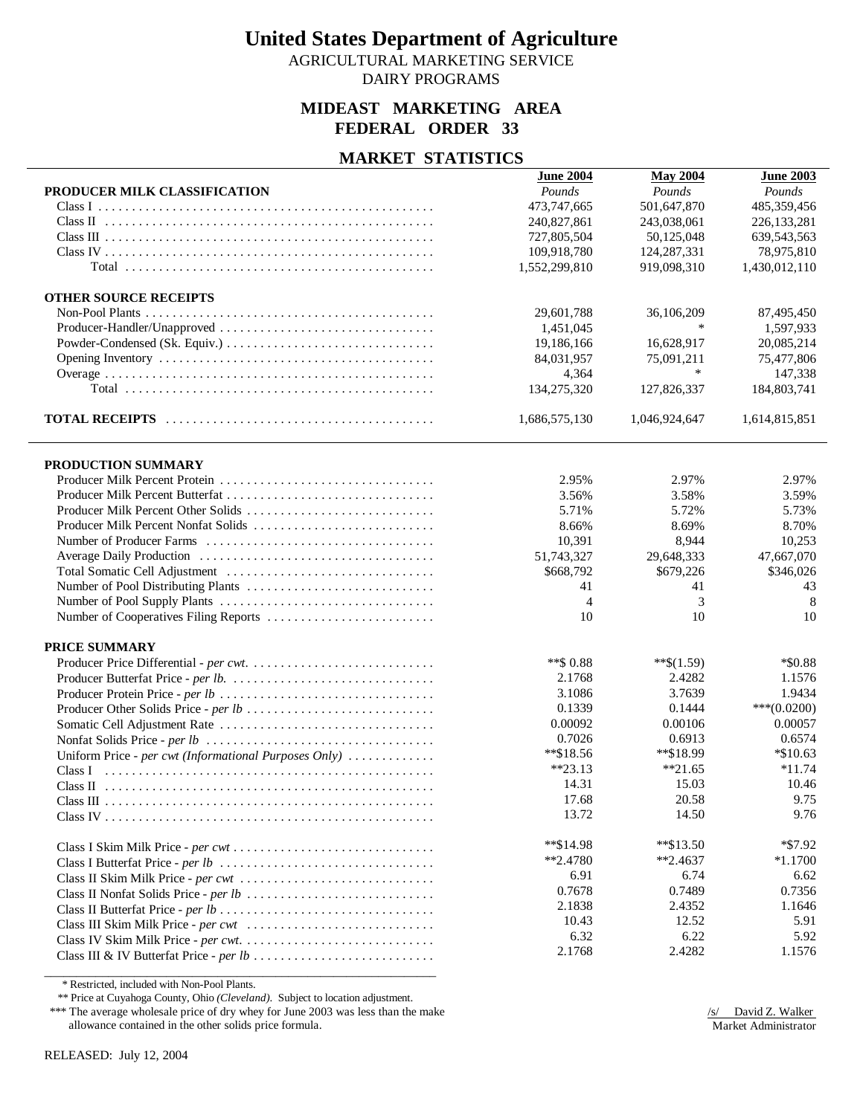AGRICULTURAL MARKETING SERVICE

DAIRY PROGRAMS

### **MIDEAST MARKETING AREA FEDERAL ORDER 33**

### **MARKET STATISTICS**

|                                                       | <b>June 2004</b> | <b>May 2004</b> | <b>June 2003</b> |
|-------------------------------------------------------|------------------|-----------------|------------------|
| PRODUCER MILK CLASSIFICATION                          | Pounds           | Pounds          | Pounds           |
|                                                       | 473,747,665      | 501,647,870     | 485,359,456      |
|                                                       | 240,827,861      | 243,038,061     | 226, 133, 281    |
|                                                       | 727,805,504      | 50,125,048      | 639,543,563      |
|                                                       | 109,918,780      | 124, 287, 331   | 78,975,810       |
|                                                       | 1,552,299,810    | 919,098,310     | 1,430,012,110    |
| <b>OTHER SOURCE RECEIPTS</b>                          |                  |                 |                  |
|                                                       | 29,601,788       | 36,106,209      | 87,495,450       |
| Producer-Handler/Unapproved                           | 1,451,045        | $\ast$          | 1,597,933        |
|                                                       | 19,186,166       | 16,628,917      | 20,085,214       |
|                                                       | 84,031,957       | 75,091,211      | 75,477,806       |
|                                                       | 4,364            | $\ast$          | 147,338          |
|                                                       | 134,275,320      | 127,826,337     | 184,803,741      |
|                                                       | 1,686,575,130    | 1,046,924,647   | 1,614,815,851    |
| PRODUCTION SUMMARY                                    |                  |                 |                  |
|                                                       | 2.95%            | 2.97%           | 2.97%            |
|                                                       | 3.56%            | 3.58%           | 3.59%            |
| Producer Milk Percent Other Solids                    | 5.71%            | 5.72%           | 5.73%            |
| Producer Milk Percent Nonfat Solids                   | 8.66%            | 8.69%           | 8.70%            |
|                                                       | 10,391           | 8,944           | 10,253           |
|                                                       | 51,743,327       | 29,648,333      | 47,667,070       |
|                                                       | \$668,792        | \$679,226       | \$346,026        |
|                                                       | 41               | 41              | 43               |
|                                                       | $\overline{4}$   | 3               | 8                |
| Number of Cooperatives Filing Reports                 | 10               | 10              | 10               |
| PRICE SUMMARY                                         |                  |                 |                  |
|                                                       | **\$ 0.88        | $**\$(1.59)$    | $*$ \$0.88       |
|                                                       | 2.1768           | 2.4282          | 1.1576           |
|                                                       | 3.1086           | 3.7639          | 1.9434           |
|                                                       | 0.1339           | 0.1444          | $***(0.0200)$    |
|                                                       | 0.00092          | 0.00106         | 0.00057          |
|                                                       | 0.7026           | 0.6913          | 0.6574           |
| Uniform Price - per cwt (Informational Purposes Only) | $*$ \$18.56      | **\$18.99       | $*10.63$         |
| Class I                                               | $*23.13$         | $*21.65$        | $*11.74$         |
|                                                       | 14.31            | 15.03           | 10.46            |
|                                                       | 17.68            | 20.58           | 9.75             |
|                                                       | 13.72            | 14.50           | 9.76             |
|                                                       | $*$ \$14.98      | $*$ $$13.50$    | $*$ \$7.92       |
|                                                       | $*2.4780$        | $*2.4637$       | $*1.1700$        |
| Class II Skim Milk Price - per cwt                    | 6.91             | 6.74            | 6.62             |
|                                                       | 0.7678           | 0.7489          | 0.7356           |
|                                                       | 2.1838           | 2.4352          | 1.1646           |
|                                                       | 10.43            | 12.52           | 5.91             |
|                                                       | 6.32             | 6.22            | 5.92             |
|                                                       | 2.1768           | 2.4282          | 1.1576           |
|                                                       |                  |                 |                  |

\* Restricted, included with Non-Pool Plants.

\*\* Price at Cuyahoga County, Ohio *(Cleveland)*. Subject to location adjustment.

\*\*\* The average wholesale price of dry whey for June 2003 was less than the make allowance contained in the other solids price formula.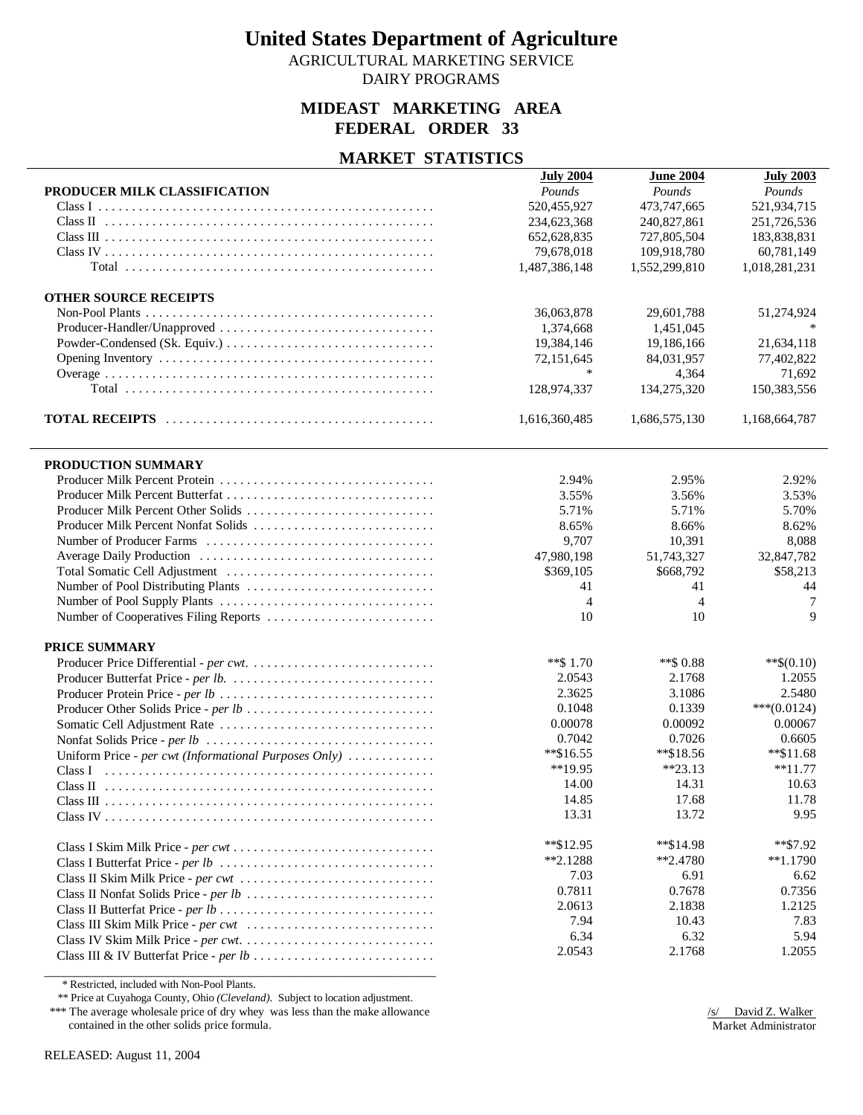AGRICULTURAL MARKETING SERVICE

DAIRY PROGRAMS

### **MIDEAST MARKETING AREA FEDERAL ORDER 33**

### **MARKET STATISTICS**

|                                                       | <b>July 2004</b> | <b>June 2004</b> | <b>July 2003</b> |
|-------------------------------------------------------|------------------|------------------|------------------|
| PRODUCER MILK CLASSIFICATION                          | Pounds           | Pounds           | Pounds           |
|                                                       | 520,455,927      | 473,747,665      | 521,934,715      |
|                                                       | 234,623,368      | 240,827,861      | 251,726,536      |
|                                                       | 652,628,835      | 727,805,504      | 183,838,831      |
|                                                       | 79,678,018       | 109,918,780      | 60,781,149       |
|                                                       | 1,487,386,148    | 1,552,299,810    | 1,018,281,231    |
| <b>OTHER SOURCE RECEIPTS</b>                          |                  |                  |                  |
|                                                       | 36,063,878       | 29,601,788       | 51,274,924       |
|                                                       | 1,374,668        | 1,451,045        |                  |
|                                                       | 19,384,146       | 19,186,166       | 21,634,118       |
|                                                       | 72,151,645       | 84,031,957       | 77,402,822       |
|                                                       | $\ast$           | 4,364            | 71,692           |
|                                                       | 128,974,337      | 134,275,320      | 150,383,556      |
|                                                       | 1,616,360,485    | 1,686,575,130    | 1,168,664,787    |
| PRODUCTION SUMMARY                                    |                  |                  |                  |
|                                                       | 2.94%            | 2.95%            | 2.92%            |
|                                                       | 3.55%            | 3.56%            | 3.53%            |
| Producer Milk Percent Other Solids                    | 5.71%            | 5.71%            | 5.70%            |
| Producer Milk Percent Nonfat Solids                   | 8.65%            | 8.66%            | 8.62%            |
|                                                       | 9,707            | 10,391           | 8,088            |
|                                                       | 47,980,198       | 51,743,327       | 32,847,782       |
|                                                       | \$369,105        | \$668,792        | \$58,213         |
|                                                       | 41               | 41               | 44               |
|                                                       | $\overline{4}$   | $\overline{4}$   | 7                |
| Number of Cooperatives Filing Reports                 | 10               | 10               | $\mathbf Q$      |
| PRICE SUMMARY                                         |                  |                  |                  |
|                                                       | **\$1.70         | **\$ 0.88        | $**\$(0.10)$     |
|                                                       | 2.0543           | 2.1768           | 1.2055           |
|                                                       | 2.3625           | 3.1086           | 2.5480           |
| Producer Other Solids Price - per lb                  | 0.1048           | 0.1339           | $***(0.0124)$    |
|                                                       | 0.00078          | 0.00092          | 0.00067          |
|                                                       | 0.7042           | 0.7026           | 0.6605           |
| Uniform Price - per cwt (Informational Purposes Only) | $*$ \$16.55      | **\$18.56        | $*$ \$11.68      |
| Class I                                               | $**19.95$        | $*23.13$         | $*11.77$         |
|                                                       | 14.00            | 14.31            | 10.63            |
|                                                       | 14.85            | 17.68            | 11.78            |
|                                                       | 13.31            | 13.72            | 9.95             |
|                                                       | $*$ \$12.95      | **\$14.98        | **\$7.92         |
|                                                       | $*2.1288$        | $*2.4780$        | $*1.1790$        |
| Class II Skim Milk Price - per cwt                    | 7.03             | 6.91             | 6.62             |
|                                                       | 0.7811           | 0.7678           | 0.7356           |
|                                                       | 2.0613           | 2.1838           | 1.2125           |
|                                                       | 7.94             | 10.43            | 7.83             |
|                                                       | 6.34             | 6.32             | 5.94             |
|                                                       | 2.0543           | 2.1768           | 1.2055           |
|                                                       |                  |                  |                  |

\* Restricted, included with Non-Pool Plants.

\*\* Price at Cuyahoga County, Ohio *(Cleveland)*. Subject to location adjustment.

\*\*\* The average wholesale price of dry whey was less than the make allowance contained in the other solids price formula.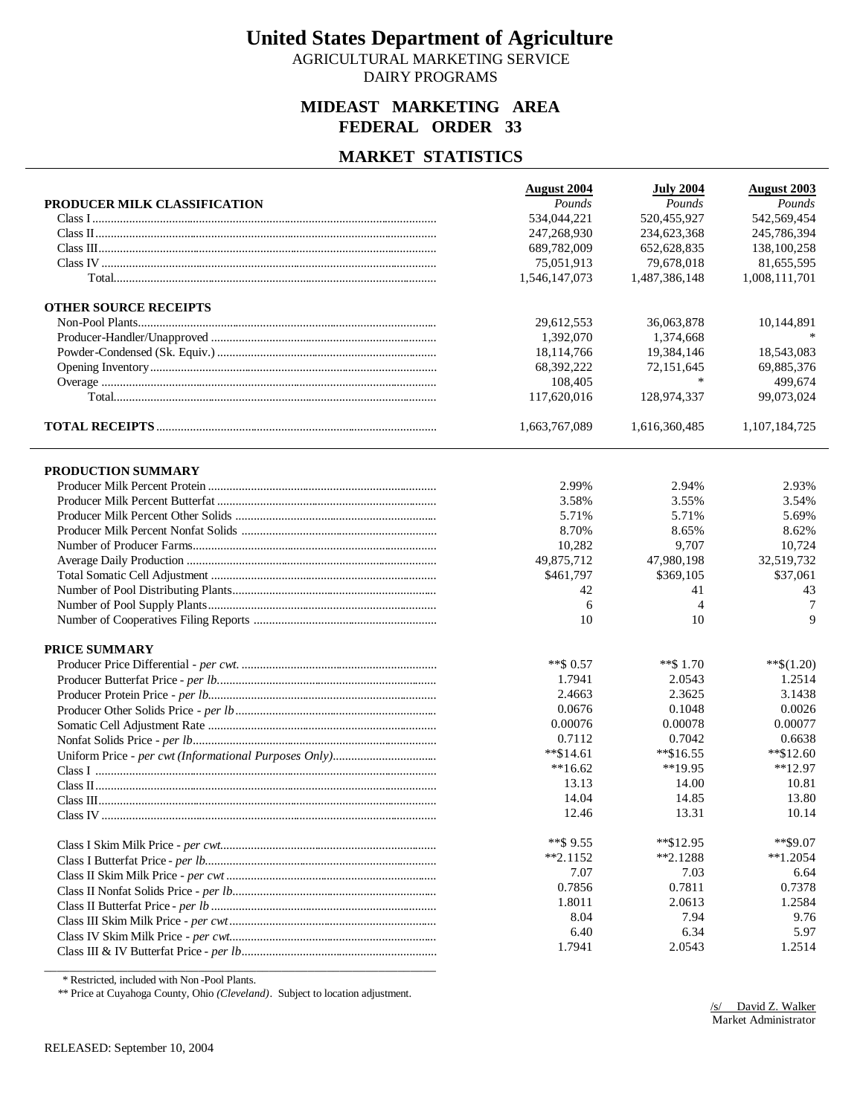AGRICULTURAL MARKETING SERVICE DAIRY PROGRAMS

#### **MIDEAST MARKETING AREA FEDERAL ORDER 33**

#### **MARKET STATISTICS**

|                              | <b>August 2004</b> | <b>July 2004</b> | <b>August 2003</b> |
|------------------------------|--------------------|------------------|--------------------|
| PRODUCER MILK CLASSIFICATION | Pounds             | Pounds           | Pounds             |
|                              | 534,044,221        | 520,455,927      | 542,569,454        |
|                              | 247,268,930        | 234,623,368      | 245,786,394        |
|                              | 689,782,009        | 652,628,835      | 138,100,258        |
|                              | 75,051,913         | 79,678,018       | 81,655,595         |
|                              | 1,546,147,073      | 1,487,386,148    | 1,008,111,701      |
| <b>OTHER SOURCE RECEIPTS</b> |                    |                  |                    |
|                              | 29,612,553         | 36,063,878       | 10,144,891         |
|                              | 1,392,070          | 1,374,668        |                    |
|                              | 18,114,766         | 19,384,146       | 18,543,083         |
|                              | 68,392,222         | 72,151,645       | 69,885,376         |
|                              | 108,405            | $\ast$           | 499,674            |
|                              | 117,620,016        | 128,974,337      | 99,073,024         |
|                              | 1,663,767,089      | 1,616,360,485    | 1,107,184,725      |
| PRODUCTION SUMMARY           |                    |                  |                    |
|                              | 2.99%              | 2.94%            | 2.93%              |
|                              | 3.58%              | 3.55%            | 3.54%              |
|                              | 5.71%              | 5.71%            | 5.69%              |
|                              | 8.70%              | 8.65%            | 8.62%              |
|                              | 10,282             | 9,707            | 10,724             |
|                              | 49,875,712         | 47,980,198       | 32,519,732         |
|                              | \$461,797          | \$369,105        | \$37,061           |
|                              | 42                 | 41               | 43                 |
|                              | 6                  | $\overline{4}$   | 7                  |
|                              | 10                 | 10               | 9                  |
| PRICE SUMMARY                |                    |                  |                    |
|                              | **\$ 0.57          | **\$ 1.70        | $**\$(1.20)$       |
|                              | 1.7941             | 2.0543           | 1.2514             |
|                              | 2.4663             | 2.3625           | 3.1438             |
|                              | 0.0676             | 0.1048           | 0.0026             |
|                              | 0.00076            | 0.00078          | 0.00077            |
|                              | 0.7112             | 0.7042           | 0.6638             |
|                              | $*$ \$14.61        | $*$ \$16.55      | $*$ \$12.60        |
|                              | $**16.62$          | $**19.95$        | $*12.97$           |
|                              | 13.13              | 14.00            | 10.81              |
|                              | 14.04              | 14.85            | 13.80              |
|                              | 12.46              | 13.31            | 10.14              |
|                              | **\$ $9.55$        | **\$12.95        | $*$ \$9.07         |
|                              | $*2.1152$          | $*2.1288$        | $*1.2054$          |
|                              | 7.07               | 7.03             | 6.64               |
|                              | 0.7856             | 0.7811           | 0.7378             |
|                              | 1.8011             | 2.0613           | 1.2584             |
|                              | 8.04               | 7.94             | 9.76               |
|                              | 6.40               | 6.34             | 5.97               |
|                              | 1.7941             | 2.0543           | 1.2514             |
|                              |                    |                  |                    |

\* Restricted, included with Non -Pool Plants.

\*\* Price at Cuyahoga County, Ohio *(Cleveland)*. Subject to location adjustment.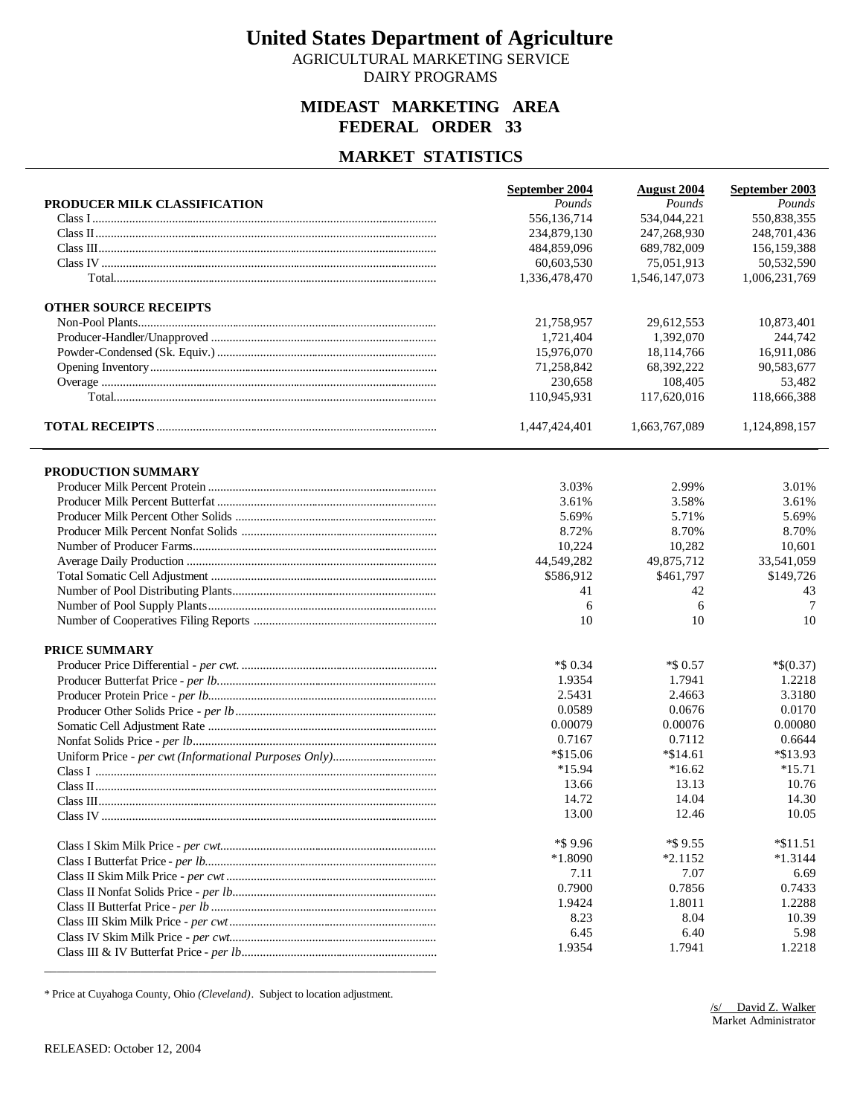AGRICULTURAL MARKETING SERVICE DAIRY PROGRAMS

#### **MIDEAST MARKETING AREA FEDERAL ORDER 33**

#### **MARKET STATISTICS**

|                              | September 2004 | <b>August 2004</b> | September 2003 |
|------------------------------|----------------|--------------------|----------------|
| PRODUCER MILK CLASSIFICATION | Pounds         | Pounds             | Pounds         |
|                              | 556,136,714    | 534,044,221        | 550,838,355    |
|                              | 234,879,130    | 247,268,930        | 248,701,436    |
|                              | 484,859,096    | 689,782,009        | 156, 159, 388  |
|                              | 60,603,530     | 75,051,913         | 50,532,590     |
|                              | 1,336,478,470  | 1,546,147,073      | 1,006,231,769  |
| <b>OTHER SOURCE RECEIPTS</b> |                |                    |                |
|                              | 21,758,957     | 29,612,553         | 10,873,401     |
|                              | 1,721,404      | 1,392,070          | 244,742        |
|                              | 15,976,070     | 18,114,766         | 16,911,086     |
|                              | 71,258,842     | 68,392,222         | 90,583,677     |
|                              | 230,658        | 108,405            | 53,482         |
|                              | 110,945,931    | 117,620,016        | 118,666,388    |
|                              | 1,447,424,401  | 1,663,767,089      | 1,124,898,157  |
| PRODUCTION SUMMARY           |                |                    |                |
|                              | 3.03%          | 2.99%              | 3.01%          |
|                              | 3.61%          | 3.58%              | 3.61%          |
|                              | 5.69%          | 5.71%              | 5.69%          |
|                              | 8.72%          | 8.70%              | 8.70%          |
|                              | 10,224         | 10,282             | 10.601         |
|                              | 44,549,282     | 49,875,712         | 33,541,059     |
|                              | \$586,912      | \$461,797          | \$149,726      |
|                              | 41             | 42                 | 43             |
|                              | 6              | 6                  | 7              |
|                              | 10             | 10                 | 10             |
| <b>PRICE SUMMARY</b>         |                |                    |                |
|                              | $*$ \$ 0.34    | $*$ \$ 0.57        | $*$(0.37)$     |
|                              | 1.9354         | 1.7941             | 1.2218         |
|                              | 2.5431         | 2.4663             | 3.3180         |
|                              | 0.0589         | 0.0676             | 0.0170         |
|                              | 0.00079        | 0.00076            | 0.00080        |
|                              | 0.7167         | 0.7112             | 0.6644         |
|                              | $*\$15.06$     | $*$ \$14.61        | *\$13.93       |
|                              | $*15.94$       | $*16.62$           | $*15.71$       |
|                              | 13.66          | 13.13              | 10.76          |
|                              | 14.72          | 14.04              | 14.30          |
|                              | 13.00          | 12.46              | 10.05          |
|                              | *\$9.96        | *\$9.55            | $*11.51$       |
|                              | $*1.8090$      | $*2.1152$          | $*1.3144$      |
|                              | 7.11           | 7.07               | 6.69           |
|                              | 0.7900         | 0.7856             | 0.7433         |
|                              | 1.9424         | 1.8011             | 1.2288         |
|                              | 8.23           | 8.04               | 10.39          |
|                              | 6.45           | 6.40               | 5.98           |
|                              | 1.9354         | 1.7941             | 1.2218         |
|                              |                |                    |                |

\* Price at Cuyahoga County, Ohio *(Cleveland)*. Subject to location adjustment.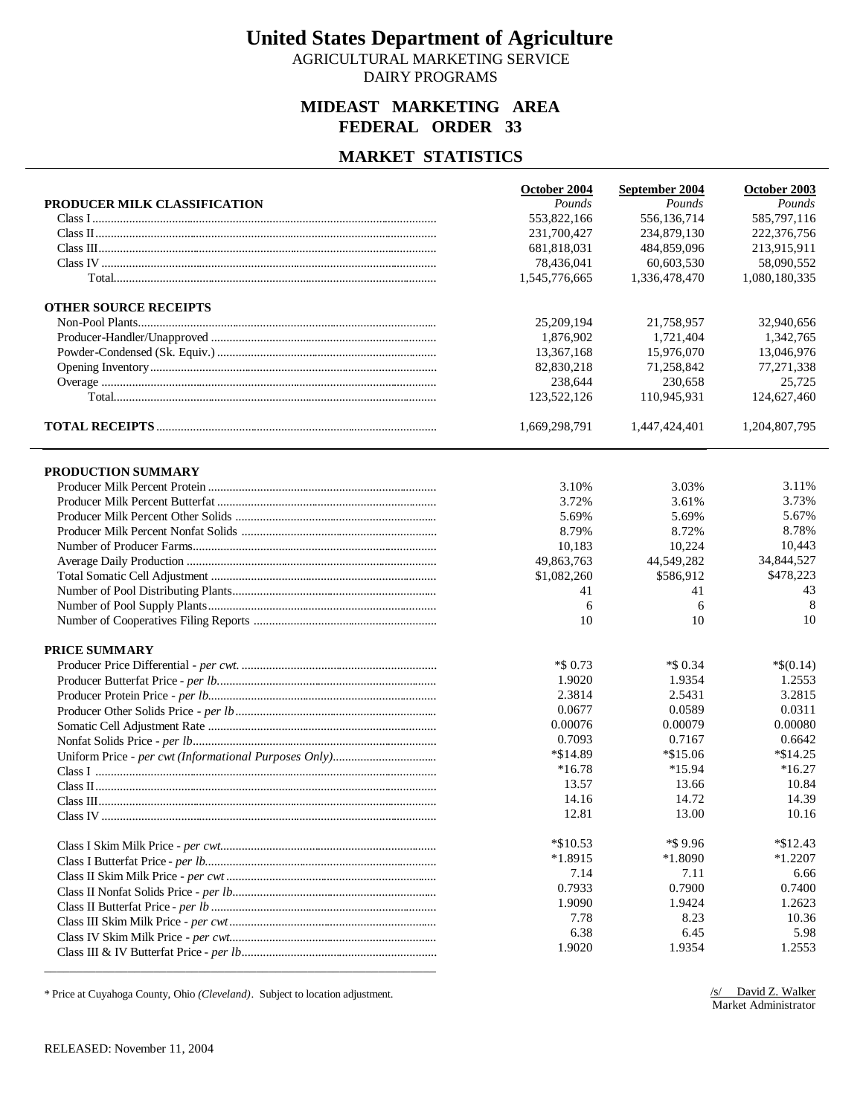AGRICULTURAL MARKETING SERVICE DAIRY PROGRAMS

#### **MIDEAST MARKETING AREA FEDERAL ORDER 33**

#### **MARKET STATISTICS**

|                                                                                                                                                                                                                                                                                                                                                                                                                                                                                                                                                     | October 2004   | September 2004 | October 2003  |
|-----------------------------------------------------------------------------------------------------------------------------------------------------------------------------------------------------------------------------------------------------------------------------------------------------------------------------------------------------------------------------------------------------------------------------------------------------------------------------------------------------------------------------------------------------|----------------|----------------|---------------|
| PRODUCER MILK CLASSIFICATION                                                                                                                                                                                                                                                                                                                                                                                                                                                                                                                        | Pounds         | Pounds         | Pounds        |
|                                                                                                                                                                                                                                                                                                                                                                                                                                                                                                                                                     | 553,822,166    | 556,136,714    | 585,797,116   |
|                                                                                                                                                                                                                                                                                                                                                                                                                                                                                                                                                     | 231,700,427    | 234,879,130    | 222,376,756   |
|                                                                                                                                                                                                                                                                                                                                                                                                                                                                                                                                                     | 681,818,031    | 484,859,096    | 213,915,911   |
|                                                                                                                                                                                                                                                                                                                                                                                                                                                                                                                                                     | 78,436,041     | 60,603,530     | 58,090,552    |
|                                                                                                                                                                                                                                                                                                                                                                                                                                                                                                                                                     | 1,545,776,665  | 1,336,478,470  | 1,080,180,335 |
| <b>OTHER SOURCE RECEIPTS</b>                                                                                                                                                                                                                                                                                                                                                                                                                                                                                                                        |                |                |               |
|                                                                                                                                                                                                                                                                                                                                                                                                                                                                                                                                                     | 25,209,194     | 21,758,957     | 32,940,656    |
|                                                                                                                                                                                                                                                                                                                                                                                                                                                                                                                                                     | 1,876,902      | 1,721,404      | 1,342,765     |
|                                                                                                                                                                                                                                                                                                                                                                                                                                                                                                                                                     | 13,367,168     | 15,976,070     | 13.046.976    |
|                                                                                                                                                                                                                                                                                                                                                                                                                                                                                                                                                     | 82,830,218     | 71,258,842     | 77,271,338    |
|                                                                                                                                                                                                                                                                                                                                                                                                                                                                                                                                                     | 238,644        | 230,658        | 25,725        |
|                                                                                                                                                                                                                                                                                                                                                                                                                                                                                                                                                     | 123,522,126    | 110,945,931    | 124,627,460   |
|                                                                                                                                                                                                                                                                                                                                                                                                                                                                                                                                                     | 1,669,298,791  | 1,447,424,401  | 1,204,807,795 |
|                                                                                                                                                                                                                                                                                                                                                                                                                                                                                                                                                     |                |                |               |
| PRODUCTION SUMMARY                                                                                                                                                                                                                                                                                                                                                                                                                                                                                                                                  |                |                | 3.11%         |
|                                                                                                                                                                                                                                                                                                                                                                                                                                                                                                                                                     | 3.10%<br>3.72% | 3.03%<br>3.61% | 3.73%         |
|                                                                                                                                                                                                                                                                                                                                                                                                                                                                                                                                                     | 5.69%          | 5.69%          | 5.67%         |
|                                                                                                                                                                                                                                                                                                                                                                                                                                                                                                                                                     | 8.79%          | 8.72%          | 8.78%         |
|                                                                                                                                                                                                                                                                                                                                                                                                                                                                                                                                                     |                | 10,224         | 10,443        |
|                                                                                                                                                                                                                                                                                                                                                                                                                                                                                                                                                     | 10,183         | 44,549,282     | 34,844,527    |
|                                                                                                                                                                                                                                                                                                                                                                                                                                                                                                                                                     | 49,863,763     | \$586,912      | \$478,223     |
|                                                                                                                                                                                                                                                                                                                                                                                                                                                                                                                                                     | \$1,082,260    |                | 43            |
|                                                                                                                                                                                                                                                                                                                                                                                                                                                                                                                                                     | 41             | 41             | 8             |
|                                                                                                                                                                                                                                                                                                                                                                                                                                                                                                                                                     | 6<br>10        | 6<br>10        | 10            |
|                                                                                                                                                                                                                                                                                                                                                                                                                                                                                                                                                     |                |                |               |
| <b>PRICE SUMMARY</b>                                                                                                                                                                                                                                                                                                                                                                                                                                                                                                                                |                |                |               |
|                                                                                                                                                                                                                                                                                                                                                                                                                                                                                                                                                     | $*$ \$ 0.73    | $*$ \$ 0.34    | $*$(0.14)$    |
|                                                                                                                                                                                                                                                                                                                                                                                                                                                                                                                                                     | 1.9020         | 1.9354         | 1.2553        |
|                                                                                                                                                                                                                                                                                                                                                                                                                                                                                                                                                     | 2.3814         | 2.5431         | 3.2815        |
|                                                                                                                                                                                                                                                                                                                                                                                                                                                                                                                                                     | 0.0677         | 0.0589         | 0.0311        |
|                                                                                                                                                                                                                                                                                                                                                                                                                                                                                                                                                     | 0.00076        | 0.00079        | 0.00080       |
|                                                                                                                                                                                                                                                                                                                                                                                                                                                                                                                                                     | 0.7093         | 0.7167         | 0.6642        |
|                                                                                                                                                                                                                                                                                                                                                                                                                                                                                                                                                     | *\$14.89       | $*\$15.06$     | $*\$14.25$    |
|                                                                                                                                                                                                                                                                                                                                                                                                                                                                                                                                                     | $*16.78$       | *15.94         | $*16.27$      |
|                                                                                                                                                                                                                                                                                                                                                                                                                                                                                                                                                     | 13.57          | 13.66          | 10.84         |
| $\label{eq:Class} \text{Class III}. \textcolor{red}{\textbf{III}}. \textcolor{red}{\textbf{III}}. \textcolor{red}{\textbf{III}}. \textcolor{red}{\textbf{III}}. \textcolor{red}{\textbf{III}}. \textcolor{red}{\textbf{III}}. \textcolor{red}{\textbf{III}}. \textcolor{red}{\textbf{III}}. \textcolor{red}{\textbf{III}}. \textcolor{red}{\textbf{III}}. \textcolor{red}{\textbf{III}}. \textcolor{red}{\textbf{III}}. \textcolor{red}{\textbf{III}}. \textcolor{red}{\textbf{III}}. \textcolor{red}{\textbf{III}}. \textcolor{red}{\textbf{III}}$ | 14.16          | 14.72          | 14.39         |
|                                                                                                                                                                                                                                                                                                                                                                                                                                                                                                                                                     | 12.81          | 13.00          | 10.16         |
|                                                                                                                                                                                                                                                                                                                                                                                                                                                                                                                                                     | $*$ \$10.53    | *\$9.96        | $*\$12.43$    |
|                                                                                                                                                                                                                                                                                                                                                                                                                                                                                                                                                     | $*1.8915$      | *1.8090        | $*1.2207$     |
|                                                                                                                                                                                                                                                                                                                                                                                                                                                                                                                                                     | 7.14           | 7.11           | 6.66          |
|                                                                                                                                                                                                                                                                                                                                                                                                                                                                                                                                                     | 0.7933         | 0.7900         | 0.7400        |
|                                                                                                                                                                                                                                                                                                                                                                                                                                                                                                                                                     | 1.9090         | 1.9424         | 1.2623        |
|                                                                                                                                                                                                                                                                                                                                                                                                                                                                                                                                                     | 7.78           | 8.23           | 10.36         |
|                                                                                                                                                                                                                                                                                                                                                                                                                                                                                                                                                     | 6.38           | 6.45           | 5.98          |
|                                                                                                                                                                                                                                                                                                                                                                                                                                                                                                                                                     | 1.9020         | 1.9354         | 1.2553        |
|                                                                                                                                                                                                                                                                                                                                                                                                                                                                                                                                                     |                |                |               |

\* Price at Cuyahoga County, Ohio *(Cleveland)*. Subject to location adjustment.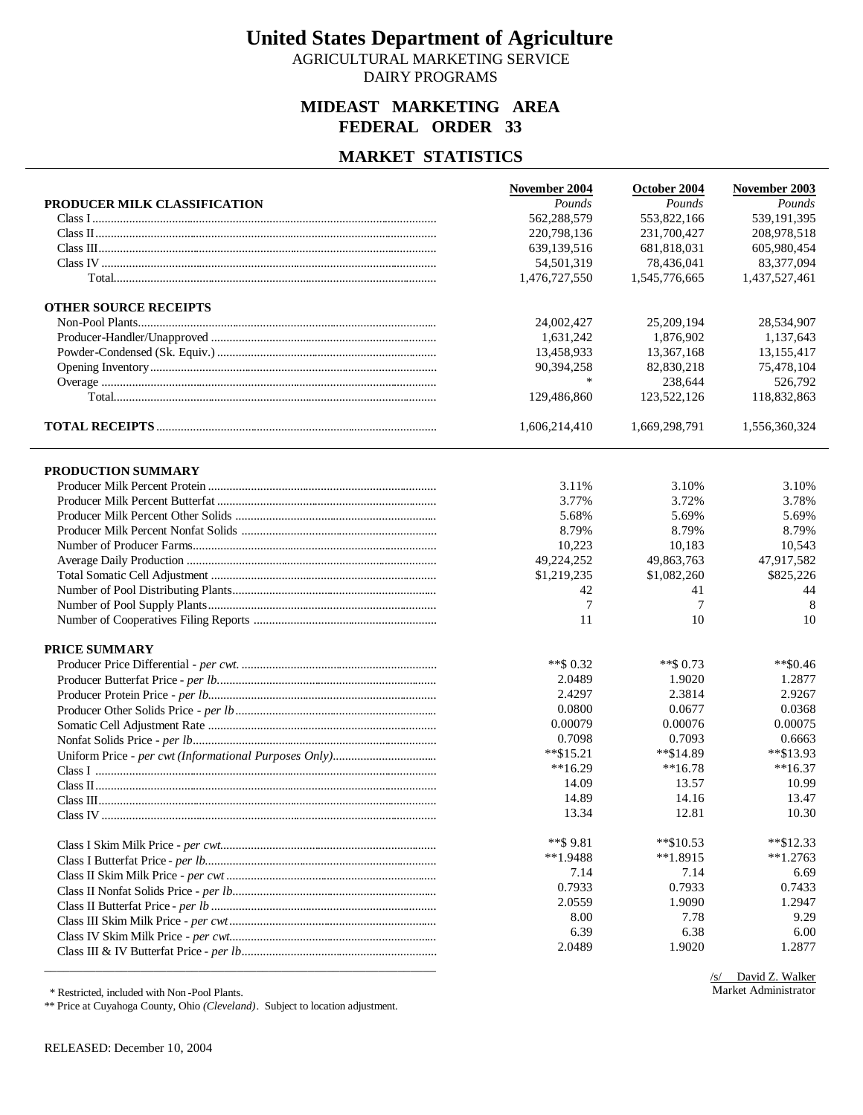AGRICULTURAL MARKETING SERVICE DAIRY PROGRAMS

#### **MIDEAST MARKETING AREA FEDERAL ORDER 33**

#### **MARKET STATISTICS**

|                              | November 2004 | October 2004  | November 2003 |
|------------------------------|---------------|---------------|---------------|
| PRODUCER MILK CLASSIFICATION | Pounds        | Pounds        | Pounds        |
|                              | 562,288,579   | 553,822,166   | 539,191,395   |
|                              | 220,798,136   | 231,700,427   | 208,978,518   |
|                              | 639,139,516   | 681,818,031   | 605,980,454   |
|                              | 54,501,319    | 78,436,041    | 83,377,094    |
|                              | 1,476,727,550 | 1,545,776,665 | 1,437,527,461 |
| <b>OTHER SOURCE RECEIPTS</b> |               |               |               |
|                              | 24,002,427    | 25,209,194    | 28,534,907    |
|                              | 1,631,242     | 1.876.902     | 1,137,643     |
|                              | 13,458,933    | 13,367,168    | 13,155,417    |
|                              | 90,394,258    | 82,830,218    | 75,478,104    |
|                              | $\ast$        | 238,644       | 526,792       |
|                              | 129,486,860   | 123,522,126   | 118,832,863   |
|                              | 1,606,214,410 | 1,669,298,791 | 1,556,360,324 |
| PRODUCTION SUMMARY           |               |               |               |
|                              | 3.11%         | 3.10%         | 3.10%         |
|                              | 3.77%         | 3.72%         | 3.78%         |
|                              | 5.68%         | 5.69%         | 5.69%         |
|                              | 8.79%         | 8.79%         | 8.79%         |
|                              | 10,223        | 10,183        | 10,543        |
|                              | 49,224,252    | 49,863,763    | 47,917,582    |
|                              | \$1,219,235   | \$1,082,260   | \$825,226     |
|                              | 42            | 41            | 44            |
|                              | 7             | 7             | 8             |
|                              | 11            | 10            | 10            |
| PRICE SUMMARY                |               |               |               |
|                              | **\$ $0.32$   | $**$ \$ 0.73  | $*80.46$      |
|                              | 2.0489        | 1.9020        | 1.2877        |
|                              | 2.4297        | 2.3814        | 2.9267        |
|                              | 0.0800        | 0.0677        | 0.0368        |
|                              | 0.00079       | 0.00076       | 0.00075       |
|                              | 0.7098        | 0.7093        | 0.6663        |
|                              | $*$ \$15.21   | **\$14.89     | $*$ \$13.93   |
|                              | $**16.29$     | $**16.78$     | $**16.37$     |
|                              | 14.09         | 13.57         | 10.99         |
|                              | 14.89         | 14.16         | 13.47         |
|                              | 13.34         | 12.81         | 10.30         |
|                              | $**$ \$ 9.81  | $**\$10.53$   | $*$ \$12.33   |
|                              | $**1.9488$    | $**1.8915$    | $**1.2763$    |
|                              | 7.14          | 7.14          | 6.69          |
|                              | 0.7933        | 0.7933        | 0.7433        |
|                              | 2.0559        | 1.9090        | 1.2947        |
|                              | 8.00          | 7.78          | 9.29          |
|                              | 6.39          | 6.38          | 6.00          |
|                              | 2.0489        | 1.9020        | 1.2877        |
|                              |               |               |               |

\* Restricted, included with Non -Pool Plants.

\*\* Price at Cuyahoga County, Ohio *(Cleveland)*. Subject to location adjustment.